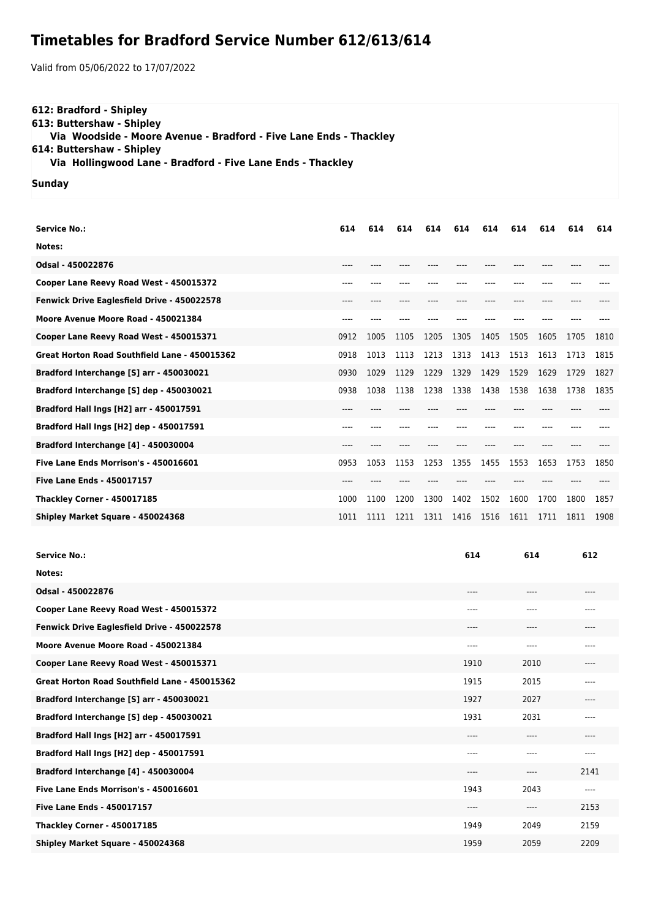## **Timetables for Bradford Service Number 612/613/614**

Valid from 05/06/2022 to 17/07/2022

## **612: Bradford - Shipley 613: Buttershaw - Shipley Via Woodside - Moore Avenue - Bradford - Five Lane Ends - Thackley 614: Buttershaw - Shipley Via Hollingwood Lane - Bradford - Five Lane Ends - Thackley**

**Sunday**

| 614    | 614  | 614  | 614  | 614  | 614  | 614  | 614   | 614  | 614  |
|--------|------|------|------|------|------|------|-------|------|------|
|        |      |      |      |      |      |      |       |      |      |
| ----   |      |      |      |      |      |      |       |      |      |
| ----   |      |      |      |      |      | ---- |       |      |      |
| $----$ | ---- |      | ---- |      |      | ---- | ----  |      |      |
| ----   |      |      |      |      |      |      |       |      |      |
| 0912   | 1005 | 1105 | 1205 | 1305 | 1405 | 1505 | 1605  | 1705 | 1810 |
| 0918   | 1013 | 1113 | 1213 | 1313 | 1413 | 1513 | 1613  | 1713 | 1815 |
| 0930   | 1029 | 1129 | 1229 | 1329 | 1429 | 1529 | 1629  | 1729 | 1827 |
| 0938   | 1038 | 1138 | 1238 | 1338 | 1438 | 1538 | 1638  | 1738 | 1835 |
| ----   |      |      |      |      |      |      |       |      |      |
| ----   |      |      |      |      |      | ---- | $---$ |      |      |
| ----   |      |      |      |      |      |      |       |      |      |
| 0953   | 1053 | 1153 | 1253 | 1355 | 1455 | 1553 | 1653  | 1753 | 1850 |
| ----   |      |      |      |      |      |      |       |      |      |
| 1000   | 1100 | 1200 | 1300 | 1402 | 1502 | 1600 | 1700  | 1800 | 1857 |
| 1011   | 1111 | 1211 | 1311 | 1416 | 1516 | 1611 | 1711  | 1811 | 1908 |
|        |      |      |      |      |      |      |       |      |      |

| <b>Service No.:</b>                           | 614   | 614    | 612   |
|-----------------------------------------------|-------|--------|-------|
| Notes:                                        |       |        |       |
| Odsal - 450022876                             | $---$ | $----$ | ----  |
| Cooper Lane Reevy Road West - 450015372       | ----  | ----   | ----  |
| Fenwick Drive Eaglesfield Drive - 450022578   | $---$ | $---$  | ----  |
| Moore Avenue Moore Road - 450021384           | $---$ | ----   | ----  |
| Cooper Lane Reevy Road West - 450015371       | 1910  | 2010   | ----  |
| Great Horton Road Southfield Lane - 450015362 | 1915  | 2015   | $---$ |
| Bradford Interchange [S] arr - 450030021      | 1927  | 2027   | ----  |
| Bradford Interchange [S] dep - 450030021      | 1931  | 2031   | ----  |
| Bradford Hall Ings [H2] arr - 450017591       | $---$ | $---$  | ----  |
| Bradford Hall Ings [H2] dep - 450017591       | ----  | ----   | ----  |
| Bradford Interchange [4] - 450030004          | $---$ | ----   | 2141  |
| Five Lane Ends Morrison's - 450016601         | 1943  | 2043   | ----  |
| <b>Five Lane Ends - 450017157</b>             | $---$ | ----   | 2153  |
| <b>Thackley Corner - 450017185</b>            | 1949  | 2049   | 2159  |
| Shipley Market Square - 450024368             | 1959  | 2059   | 2209  |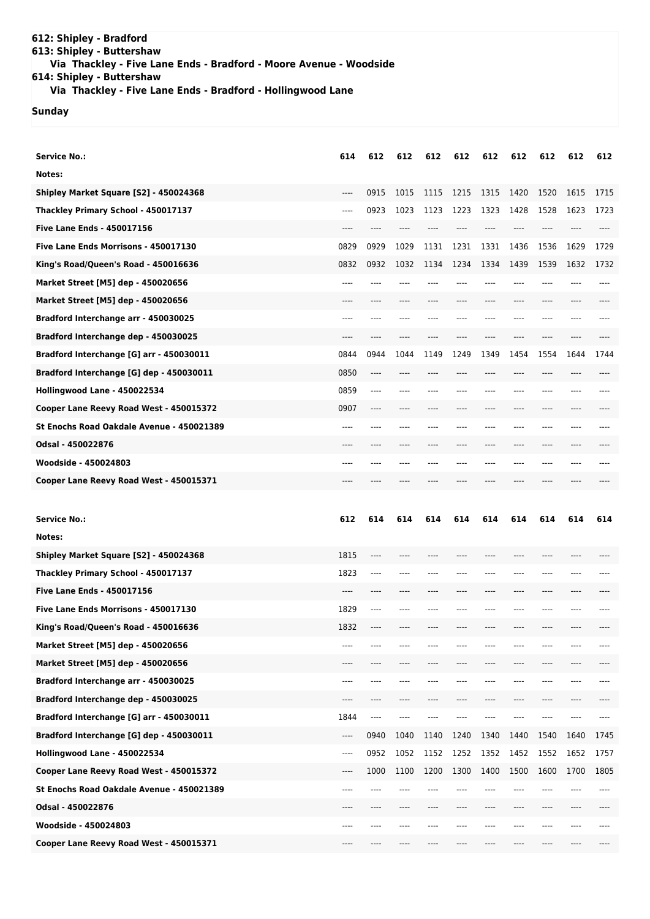## **612: Shipley - Bradford 613: Shipley - Buttershaw Via Thackley - Five Lane Ends - Bradford - Moore Avenue - Woodside 614: Shipley - Buttershaw**

 **Via Thackley - Five Lane Ends - Bradford - Hollingwood Lane**

## **Sunday**

| <b>Service No.:</b>                       | 614   | 612  | 612  | 612  | 612  | 612  | 612  | 612  | 612  | 612  |
|-------------------------------------------|-------|------|------|------|------|------|------|------|------|------|
| Notes:                                    |       |      |      |      |      |      |      |      |      |      |
| Shipley Market Square [S2] - 450024368    | $---$ | 0915 | 1015 | 1115 | 1215 | 1315 | 1420 | 1520 | 1615 | 1715 |
| Thackley Primary School - 450017137       | $---$ | 0923 | 1023 | 1123 | 1223 | 1323 | 1428 | 1528 | 1623 | 1723 |
| <b>Five Lane Ends - 450017156</b>         | ----  |      |      |      |      |      |      |      |      |      |
| Five Lane Ends Morrisons - 450017130      | 0829  | 0929 | 1029 | 1131 | 1231 | 1331 | 1436 | 1536 | 1629 | 1729 |
| King's Road/Queen's Road - 450016636      | 0832  | 0932 | 1032 | 1134 | 1234 | 1334 | 1439 | 1539 | 1632 | 1732 |
| Market Street [M5] dep - 450020656        | ----  |      |      |      |      |      |      |      |      |      |
| Market Street [M5] dep - 450020656        | ----  |      |      |      |      |      |      |      |      |      |
| Bradford Interchange arr - 450030025      | $---$ | ---- |      | ---- |      | ---- | ---- | ---- | ---- |      |
| Bradford Interchange dep - 450030025      | $---$ | ---- |      |      |      |      | ---- | ---- |      |      |
| Bradford Interchange [G] arr - 450030011  | 0844  | 0944 | 1044 | 1149 | 1249 | 1349 | 1454 | 1554 | 1644 | 1744 |
| Bradford Interchange [G] dep - 450030011  | 0850  | ---- |      |      |      |      |      | ---- |      |      |
| Hollingwood Lane - 450022534              | 0859  | ---- | ---- |      |      | ---- |      |      | ---- |      |
| Cooper Lane Reevy Road West - 450015372   | 0907  | ---- |      |      | ---- | ---- | ---- | ---- |      |      |
| St Enochs Road Oakdale Avenue - 450021389 | ----  | ---- |      |      |      | ---  | ---- | ---- |      |      |
| Odsal - 450022876                         | ----  |      |      |      |      |      |      |      |      |      |
| Woodside - 450024803                      | ----  |      |      |      |      | ---- | ---- | ---- | ---- |      |
| Cooper Lane Reevy Road West - 450015371   |       |      |      |      |      |      |      |      |      |      |
|                                           |       |      |      |      |      |      |      |      |      |      |
|                                           |       |      |      |      |      |      |      |      |      |      |
| <b>Service No.:</b>                       | 612   | 614  | 614  | 614  | 614  | 614  | 614  | 614  | 614  | 614  |
| Notes:                                    |       |      |      |      |      |      |      |      |      |      |
| Shipley Market Square [S2] - 450024368    | 1815  | ---- |      |      |      |      |      |      |      |      |
| Thackley Primary School - 450017137       | 1823  | ---- |      |      |      |      |      |      |      |      |
| <b>Five Lane Ends - 450017156</b>         | ----  | ---- |      |      |      |      | ---- | ---- |      |      |
| Five Lane Ends Morrisons - 450017130      | 1829  | ---- |      |      |      |      | ---- | ---- |      |      |
| King's Road/Queen's Road - 450016636      | 1832  |      |      |      |      |      |      |      |      |      |
| Market Street [M5] dep - 450020656        |       |      |      |      |      |      |      |      |      |      |
| Market Street [M5] dep - 450020656        | ----  |      |      |      |      |      |      |      |      |      |
| Bradford Interchange arr - 450030025      | ----  | ---- |      |      |      |      | ---- | ---- |      |      |
| Bradford Interchange dep - 450030025      | ----  | ---- | ---- |      |      |      | ---- | ---- |      |      |
| Bradford Interchange [G] arr - 450030011  | 1844  | ---- |      |      |      |      |      |      |      |      |
| Bradford Interchange [G] dep - 450030011  | ----  | 0940 | 1040 | 1140 | 1240 | 1340 | 1440 | 1540 | 1640 | 1745 |
| Hollingwood Lane - 450022534              | ----  | 0952 | 1052 | 1152 | 1252 | 1352 | 1452 | 1552 | 1652 | 1757 |
| Cooper Lane Reevy Road West - 450015372   | ----  | 1000 | 1100 | 1200 | 1300 | 1400 | 1500 | 1600 | 1700 | 1805 |
| St Enochs Road Oakdale Avenue - 450021389 | ----  | ---- |      |      |      | ---- | ---- | ---- |      |      |
| Odsal - 450022876                         | ----  |      |      |      |      |      |      | ---- |      |      |
| Woodside - 450024803                      | ----  | ---- |      |      |      |      | ---- | ---- |      |      |